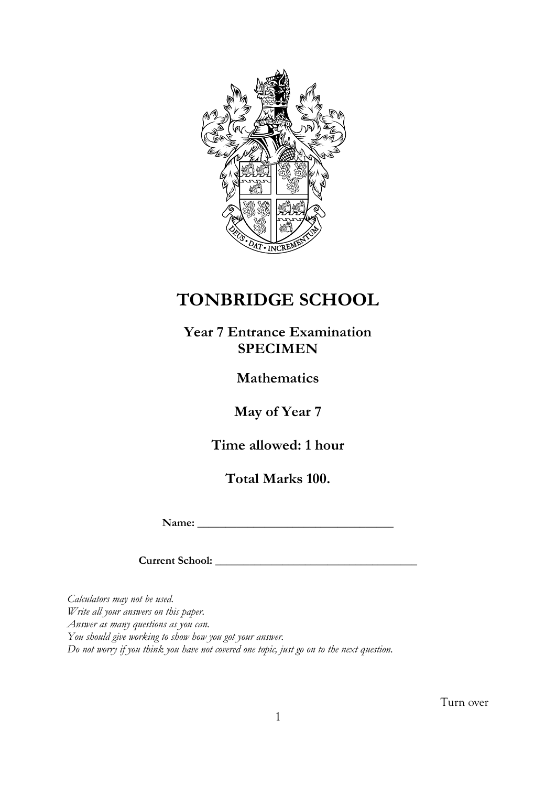

## **TONBRIDGE SCHOOL**

**Year 7 Entrance Examination SPECIMEN**

**Mathematics**

**May of Year 7**

**Time allowed: 1 hour**

**Total Marks 100.**

**Name: \_\_\_\_\_\_\_\_\_\_\_\_\_\_\_\_\_\_\_\_\_\_\_\_\_\_\_\_\_\_\_\_\_\_\_**

**Current School: \_\_\_\_\_\_\_\_\_\_\_\_\_\_\_\_\_\_\_\_\_\_\_\_\_\_\_\_\_\_\_\_\_\_\_\_**

*Calculators may not be used.*

*Write all your answers on this paper.*

*Answer as many questions as you can.*

*You should give working to show how you got your answer.*

*Do not worry if you think you have not covered one topic, just go on to the next question.*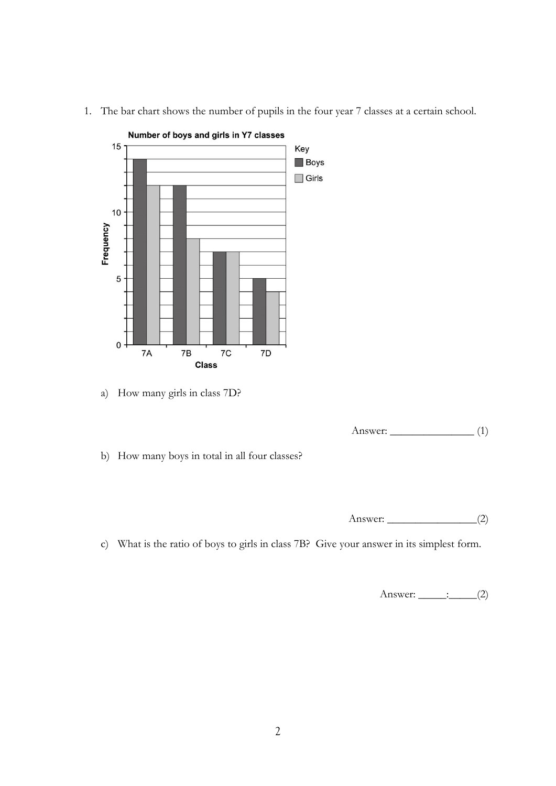

1. The bar chart shows the number of pupils in the four year 7 classes at a certain school.

a) How many girls in class 7D?

Answer: \_\_\_\_\_\_\_\_\_\_\_\_\_\_\_ (1)

b) How many boys in total in all four classes?

Answer: \_\_\_\_\_\_\_\_\_\_\_\_\_\_\_\_(2)

c) What is the ratio of boys to girls in class 7B? Give your answer in its simplest form.

Answer: \_\_\_\_\_\_: \_\_\_\_\_(2)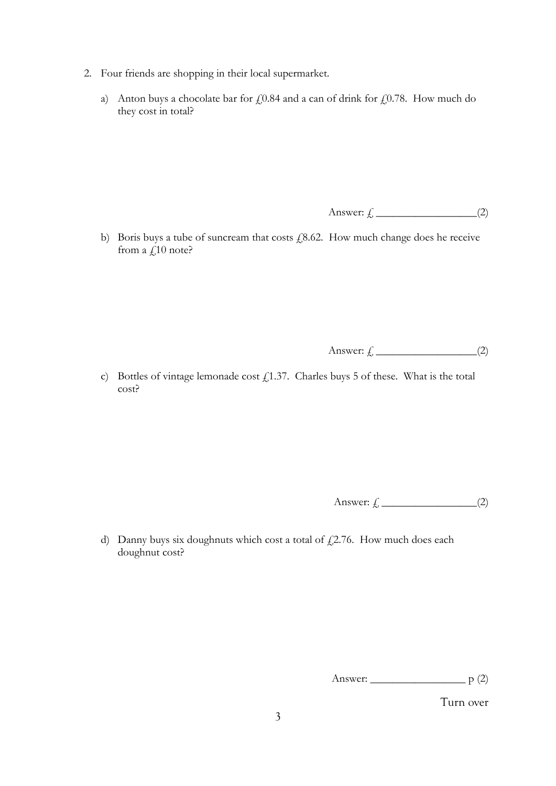- 2. Four friends are shopping in their local supermarket.
	- a) Anton buys a chocolate bar for  $f(0.84)$  and a can of drink for  $f(0.78)$ . How much do they cost in total?

Answer: £ \_\_\_\_\_\_\_\_\_\_\_\_\_\_\_\_\_\_(2)

b) Boris buys a tube of suncream that costs  $£8.62.$  How much change does he receive from a  $\text{\emph{f}}10$  note?

Answer: £ \_\_\_\_\_\_\_\_\_\_\_\_\_\_\_\_\_\_(2)

c) Bottles of vintage lemonade cost  $f_1$ 1.37. Charles buys 5 of these. What is the total cost?

Answer: £ \_\_\_\_\_\_\_\_\_\_\_\_\_\_\_\_\_(2)

d) Danny buys six doughnuts which cost a total of  $\text{\emph{L}}2.76$ . How much does each doughnut cost?

Answer: \_\_\_\_\_\_\_\_\_\_\_\_\_\_\_\_\_ p (2)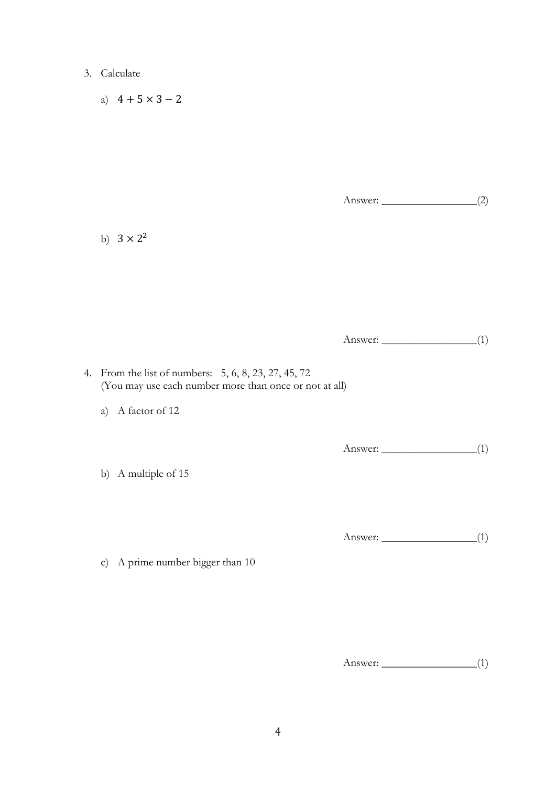- 3. Calculate
	- a)  $4 + 5 \times 3 2$

|                                                                                                                | Answer: | (2) |
|----------------------------------------------------------------------------------------------------------------|---------|-----|
| b) $3 \times 2^2$                                                                                              |         |     |
|                                                                                                                |         |     |
|                                                                                                                |         |     |
|                                                                                                                |         | (1) |
| 4. From the list of numbers: 5, 6, 8, 23, 27, 45, 72<br>(You may use each number more than once or not at all) |         |     |
| a) A factor of 12                                                                                              |         |     |
|                                                                                                                |         | (1) |
| b) A multiple of 15                                                                                            |         |     |
|                                                                                                                |         |     |
|                                                                                                                | Answer: | (1) |
| c) A prime number bigger than 10                                                                               |         |     |
|                                                                                                                |         |     |

Answer: \_\_\_\_\_\_\_\_\_\_\_\_\_\_\_\_\_(1)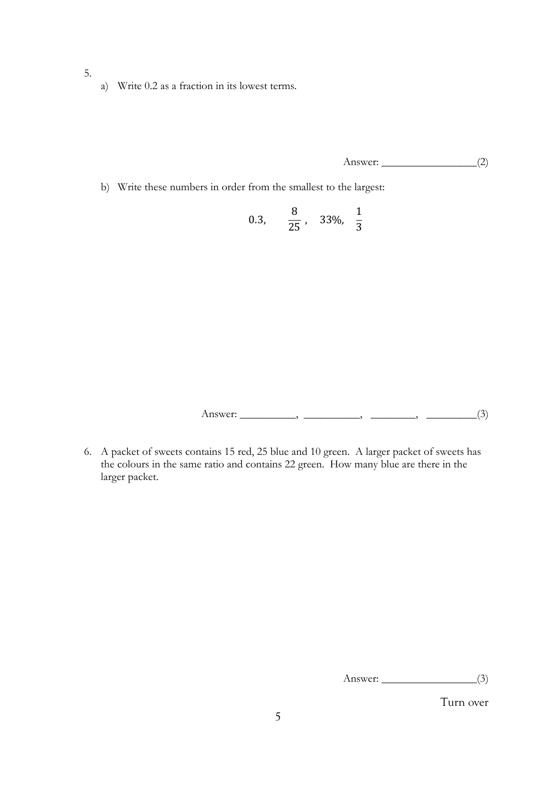5.

a) Write 0.2 as a fraction in its lowest terms.

Answer: \_\_\_\_\_\_\_\_\_\_\_\_\_\_\_\_\_(2)

b) Write these numbers in order from the smallest to the largest:

0.3, 
$$
\frac{8}{25}
$$
, 33%,  $\frac{1}{3}$ 

Answer: \_\_\_\_\_\_\_\_\_\_, \_\_\_\_\_\_\_\_\_\_, \_\_\_\_\_\_\_\_, \_\_\_\_\_\_\_\_\_(3)

6. A packet of sweets contains 15 red, 25 blue and 10 green. A larger packet of sweets has the colours in the same ratio and contains 22 green. How many blue are there in the larger packet.

Answer: \_\_\_\_\_\_\_\_\_\_\_\_\_\_\_\_\_(3)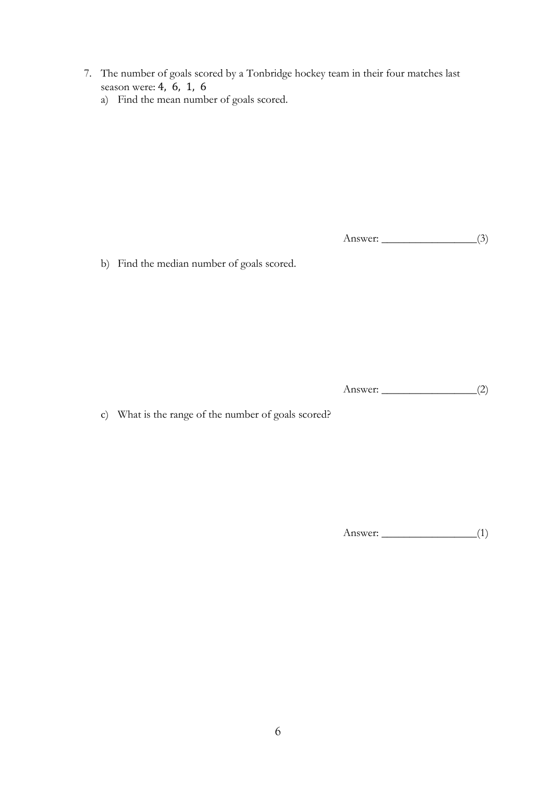- 7. The number of goals scored by a Tonbridge hockey team in their four matches last season were: 4, 6, 1, 6
	- a) Find the mean number of goals scored.

Answer: \_\_\_\_\_\_\_\_\_\_\_\_\_\_\_\_\_(3)

b) Find the median number of goals scored.

Answer: \_\_\_\_\_\_\_\_\_\_\_\_\_\_\_\_\_(2)

c) What is the range of the number of goals scored?

Answer: \_\_\_\_\_\_\_\_\_\_\_\_\_\_\_\_\_(1)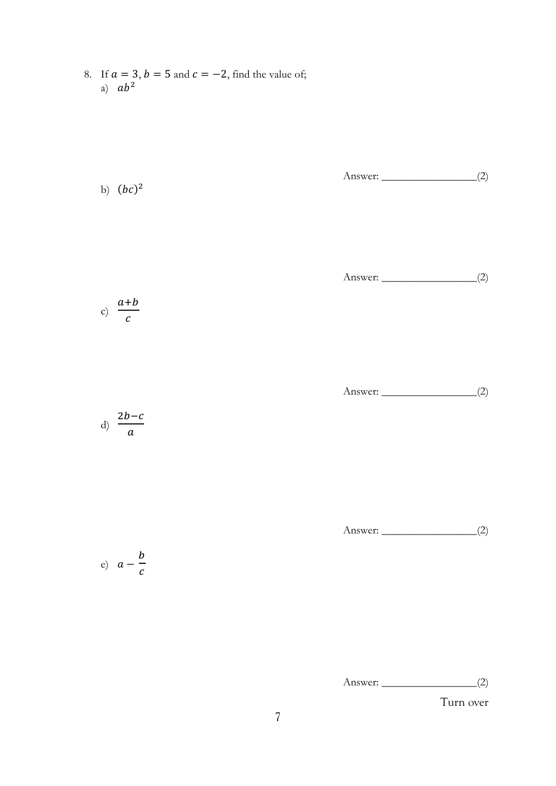8. If  $a = 3$ ,  $b = 5$  and  $c = -2$ , find the value of; a)  $ab^2$ 

$$
b) (bc)^2
$$
 Answer: (2)

Answer: \_\_\_\_\_\_\_\_\_\_\_\_\_\_\_\_\_(2)

Answer: \_\_\_\_\_\_\_\_\_\_\_\_\_\_\_\_\_(2)

Answer: \_\_\_\_\_\_\_\_\_\_\_\_\_\_\_\_\_(2)

Answer: \_\_\_\_\_\_\_\_\_\_\_\_\_\_\_\_\_(2)

Turn over

b)  $(bc)$ 

d)  $2b-c$  $\boldsymbol{a}$ 

c)

 $a+b$  $\mathcal{C}_{0}^{(n)}$ 

e)  $a \boldsymbol{b}$  $\mathcal{C}_{0}^{(n)}$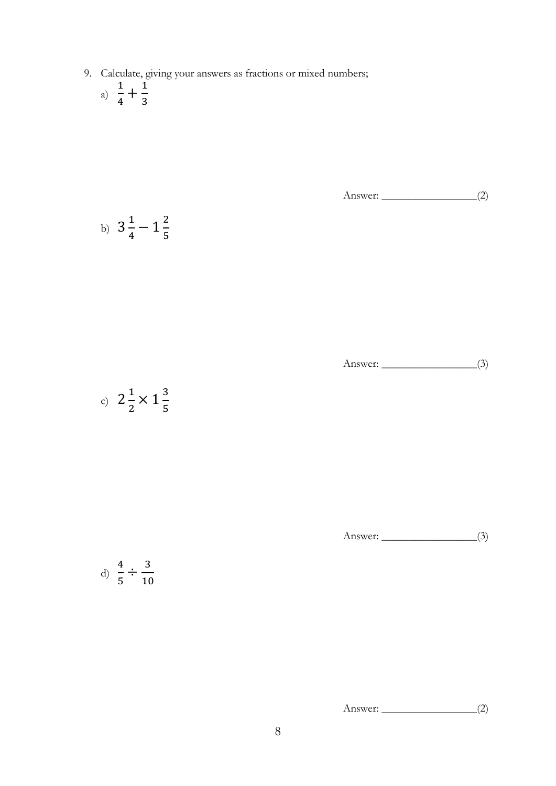9. Calculate, giving your answers as fractions or mixed numbers;

a) 
$$
\frac{1}{4} + \frac{1}{3}
$$

Answer: \_\_\_\_\_\_\_\_\_\_\_\_\_\_\_\_\_(2)

$$
\mathrm{b)}\ 3\frac{1}{4}-1\frac{2}{5}
$$

Answer: \_\_\_\_\_\_\_\_\_\_\_\_\_\_\_\_\_(3)

c) 
$$
2\frac{1}{2} \times 1\frac{3}{5}
$$

Answer: \_\_\_\_\_\_\_\_\_\_\_\_\_\_\_\_\_(3)

d) 
$$
\frac{4}{5} \div \frac{3}{10}
$$

Answer: \_\_\_\_\_\_\_\_\_\_\_\_\_\_\_\_\_(2)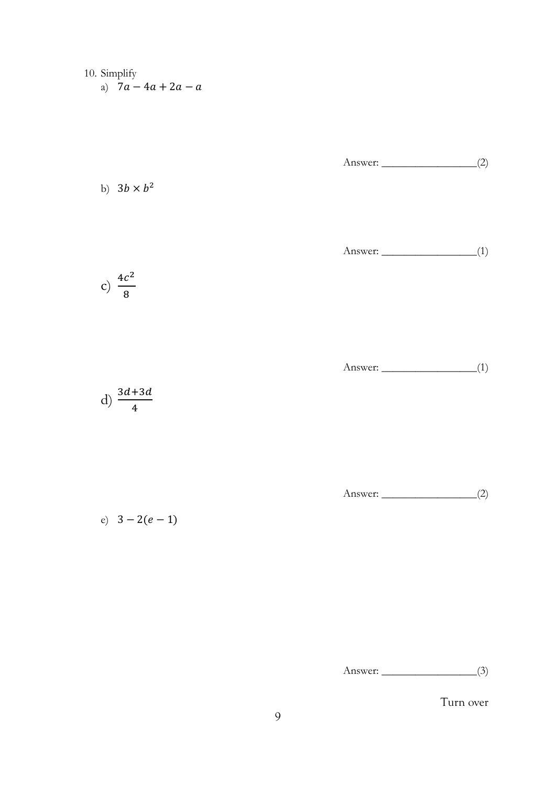## 10. Simplify

a)  $7a - 4a + 2a - a$ 

Answer: \_\_\_\_\_\_\_\_\_\_\_\_\_\_\_\_\_(2)

b)  $3b \times b^2$ 

Answer: \_\_\_\_\_\_\_\_\_\_\_\_\_\_\_\_\_(1)

$$
f_{\rm{max}}
$$

c)  $\frac{4c^2}{\epsilon}$ 8

Answer: \_\_\_\_\_\_\_\_\_\_\_\_\_\_\_\_\_(1)

d) 
$$
\frac{3d+3d}{4}
$$

Answer: \_\_\_\_\_\_\_\_\_\_\_\_\_\_\_\_\_(2)

$$
e) \quad 3-2(e-1)
$$

Answer: \_\_\_\_\_\_\_\_\_\_\_\_\_\_\_\_\_(3)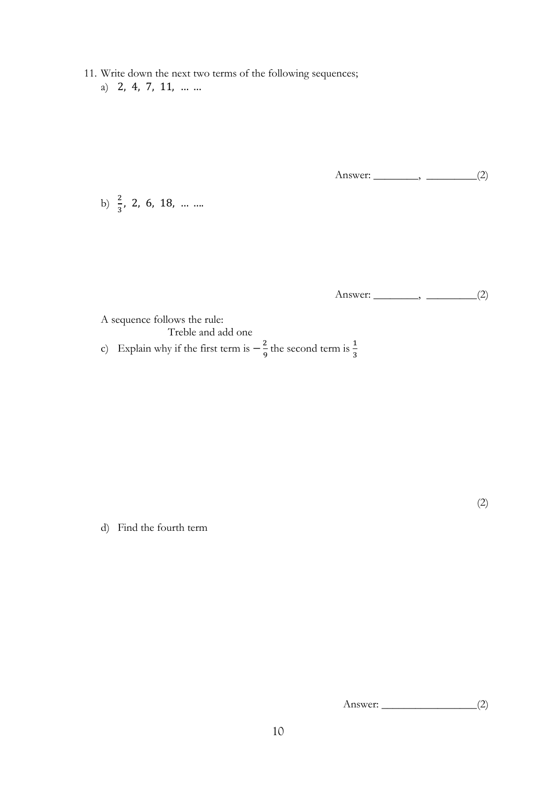11. Write down the next two terms of the following sequences; a) 2, 4, 7, 11, … …

| b) $\frac{2}{3}$ , 2, 6, 18,                       |                                           |
|----------------------------------------------------|-------------------------------------------|
|                                                    |                                           |
|                                                    | (2)<br>Answer: $\qquad \qquad$ , $\qquad$ |
| A sequence follows the rule:<br>Treble and add one |                                           |

c) Explain why if the first term is  $-\frac{2}{9}$  $\frac{2}{9}$  the second term is  $\frac{1}{3}$ 

(2)

d) Find the fourth term

Answer: \_\_\_\_\_\_\_\_\_\_\_\_\_\_\_\_\_(2)

Answer: \_\_\_\_\_\_\_\_, \_\_\_\_\_\_\_\_\_(2)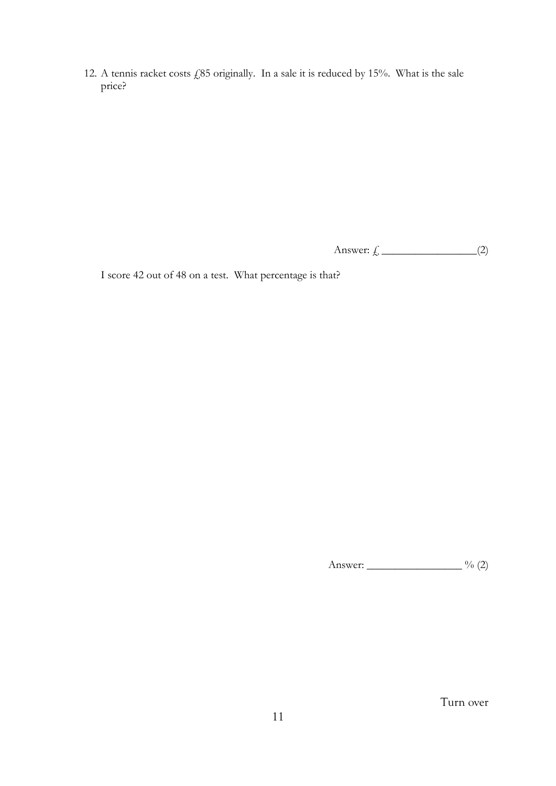12. A tennis racket costs  $£85$  originally. In a sale it is reduced by 15%. What is the sale price?

Answer: £ \_\_\_\_\_\_\_\_\_\_\_\_\_\_\_\_\_(2)

I score 42 out of 48 on a test. What percentage is that?

Answer:  $\frac{0}{2}$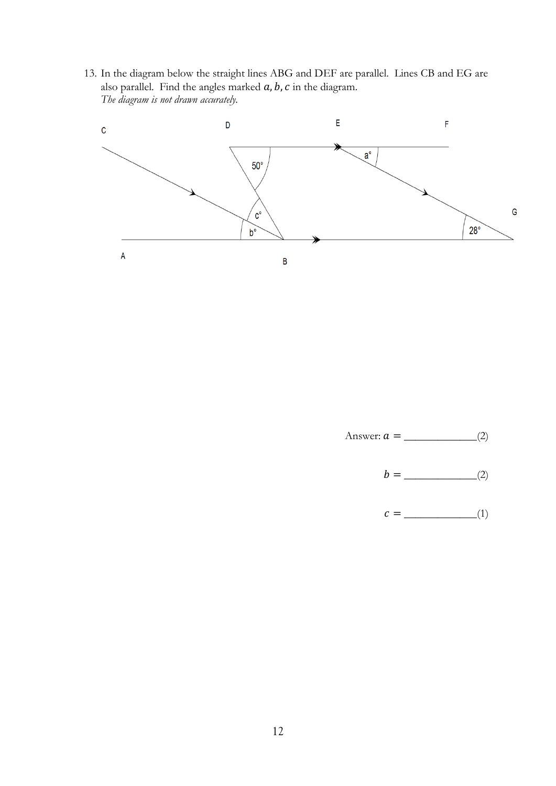13. In the diagram below the straight lines ABG and DEF are parallel. Lines CB and EG are also parallel. Find the angles marked  $a$ ,  $b$ ,  $c$  in the diagram. *The diagram is not drawn accurately.*



Answer: = \_\_\_\_\_\_\_\_\_\_\_\_\_(2)

 $b = \_$  (2)

 $c = \_$  (1)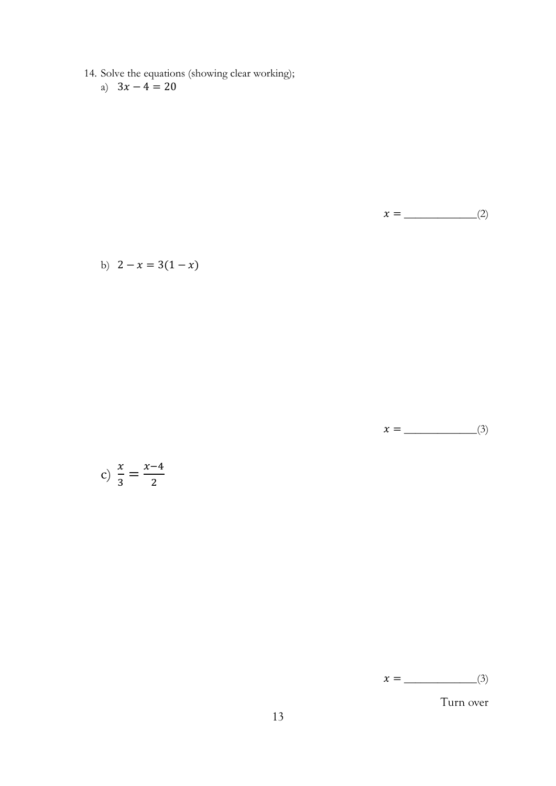- 14. Solve the equations (showing clear working);
	- a)  $3x 4 = 20$

 $x = \_$  (2)

b)  $2 - x = 3(1 - x)$ 

 $x = \_$  (3)

c) 
$$
\frac{x}{3} = \frac{x-4}{2}
$$

 $x = \_$  (3)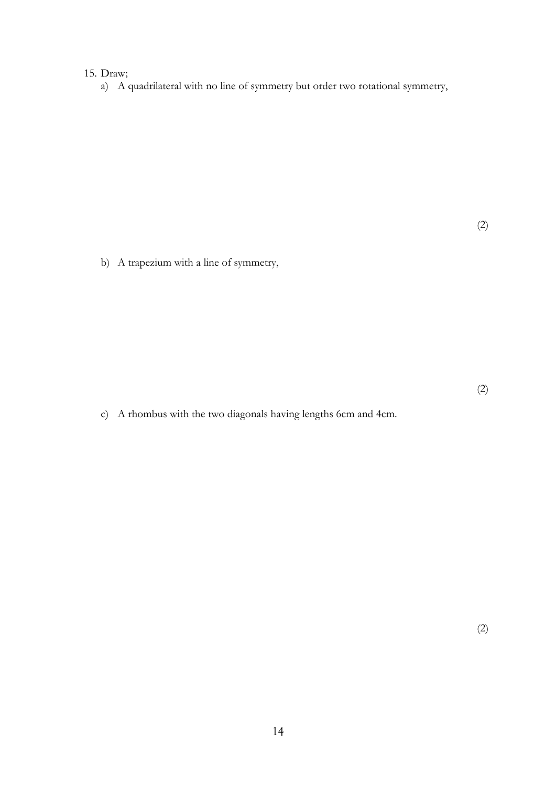## 15. Draw;

a) A quadrilateral with no line of symmetry but order two rotational symmetry,

(2)

b) A trapezium with a line of symmetry,

(2)

c) A rhombus with the two diagonals having lengths 6cm and 4cm.

(2)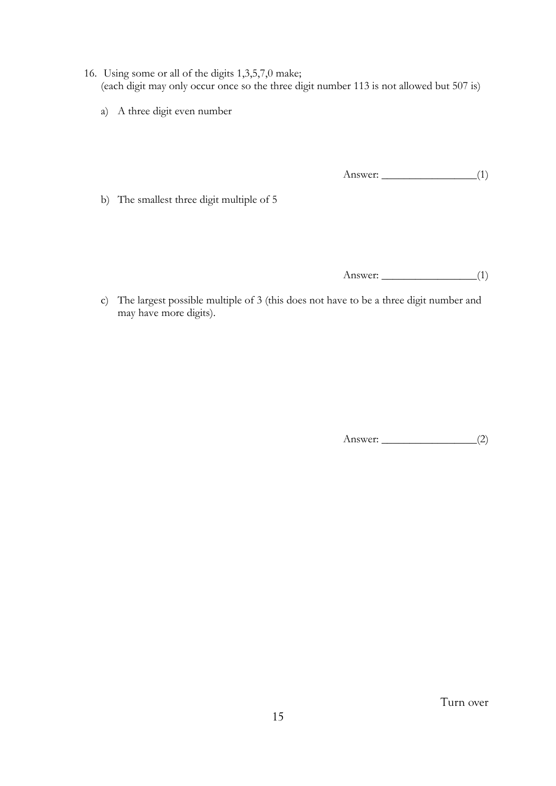- 16. Using some or all of the digits 1,3,5,7,0 make; (each digit may only occur once so the three digit number 113 is not allowed but 507 is)
	- a) A three digit even number

Answer: \_\_\_\_\_\_\_\_\_\_\_\_\_\_\_\_\_(1)

b) The smallest three digit multiple of 5

Answer: \_\_\_\_\_\_\_\_\_\_\_\_\_\_\_\_\_(1)

c) The largest possible multiple of 3 (this does not have to be a three digit number and may have more digits).

Answer: \_\_\_\_\_\_\_\_\_\_\_\_\_\_\_\_\_(2)